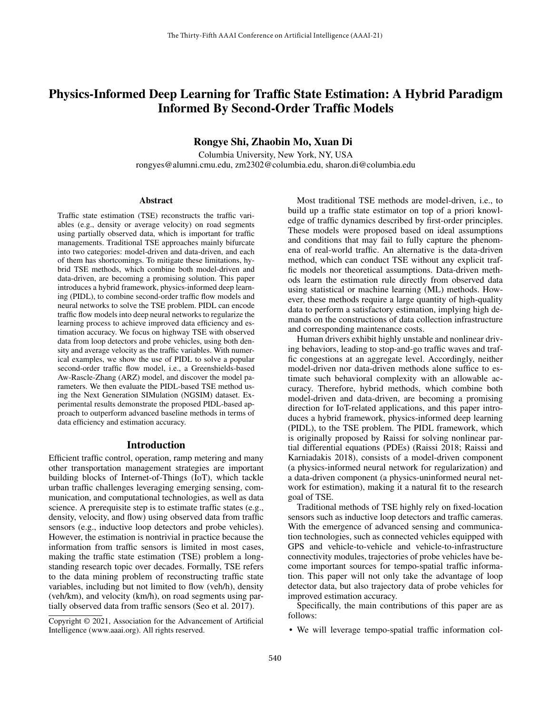# Physics-Informed Deep Learning for Traffic State Estimation: A Hybrid Paradigm Informed By Second-Order Traffic Models

Rongye Shi, Zhaobin Mo, Xuan Di

Columbia University, New York, NY, USA rongyes@alumni.cmu.edu, zm2302@columbia.edu, sharon.di@columbia.edu

#### Abstract

Traffic state estimation (TSE) reconstructs the traffic variables (e.g., density or average velocity) on road segments using partially observed data, which is important for traffic managements. Traditional TSE approaches mainly bifurcate into two categories: model-driven and data-driven, and each of them has shortcomings. To mitigate these limitations, hybrid TSE methods, which combine both model-driven and data-driven, are becoming a promising solution. This paper introduces a hybrid framework, physics-informed deep learning (PIDL), to combine second-order traffic flow models and neural networks to solve the TSE problem. PIDL can encode traffic flow models into deep neural networks to regularize the learning process to achieve improved data efficiency and estimation accuracy. We focus on highway TSE with observed data from loop detectors and probe vehicles, using both density and average velocity as the traffic variables. With numerical examples, we show the use of PIDL to solve a popular second-order traffic flow model, i.e., a Greenshields-based Aw-Rascle-Zhang (ARZ) model, and discover the model parameters. We then evaluate the PIDL-based TSE method using the Next Generation SIMulation (NGSIM) dataset. Experimental results demonstrate the proposed PIDL-based approach to outperform advanced baseline methods in terms of data efficiency and estimation accuracy.

## Introduction

Efficient traffic control, operation, ramp metering and many other transportation management strategies are important building blocks of Internet-of-Things (IoT), which tackle urban traffic challenges leveraging emerging sensing, communication, and computational technologies, as well as data science. A prerequisite step is to estimate traffic states (e.g., density, velocity, and flow) using observed data from traffic sensors (e.g., inductive loop detectors and probe vehicles). However, the estimation is nontrivial in practice because the information from traffic sensors is limited in most cases, making the traffic state estimation (TSE) problem a longstanding research topic over decades. Formally, TSE refers to the data mining problem of reconstructing traffic state variables, including but not limited to flow (veh/h), density (veh/km), and velocity (km/h), on road segments using partially observed data from traffic sensors (Seo et al. 2017).

Most traditional TSE methods are model-driven, i.e., to build up a traffic state estimator on top of a priori knowledge of traffic dynamics described by first-order principles. These models were proposed based on ideal assumptions and conditions that may fail to fully capture the phenomena of real-world traffic. An alternative is the data-driven method, which can conduct TSE without any explicit traffic models nor theoretical assumptions. Data-driven methods learn the estimation rule directly from observed data using statistical or machine learning (ML) methods. However, these methods require a large quantity of high-quality data to perform a satisfactory estimation, implying high demands on the constructions of data collection infrastructure and corresponding maintenance costs.

Human drivers exhibit highly unstable and nonlinear driving behaviors, leading to stop-and-go traffic waves and traffic congestions at an aggregate level. Accordingly, neither model-driven nor data-driven methods alone suffice to estimate such behavioral complexity with an allowable accuracy. Therefore, hybrid methods, which combine both model-driven and data-driven, are becoming a promising direction for IoT-related applications, and this paper introduces a hybrid framework, physics-informed deep learning (PIDL), to the TSE problem. The PIDL framework, which is originally proposed by Raissi for solving nonlinear partial differential equations (PDEs) (Raissi 2018; Raissi and Karniadakis 2018), consists of a model-driven component (a physics-informed neural network for regularization) and a data-driven component (a physics-uninformed neural network for estimation), making it a natural fit to the research goal of TSE.

Traditional methods of TSE highly rely on fixed-location sensors such as inductive loop detectors and traffic cameras. With the emergence of advanced sensing and communication technologies, such as connected vehicles equipped with GPS and vehicle-to-vehicle and vehicle-to-infrastructure connectivity modules, trajectories of probe vehicles have become important sources for tempo-spatial traffic information. This paper will not only take the advantage of loop detector data, but also trajectory data of probe vehicles for improved estimation accuracy.

Specifically, the main contributions of this paper are as follows:

• We will leverage tempo-spatial traffic information col-

Copyright © 2021, Association for the Advancement of Artificial Intelligence (www.aaai.org). All rights reserved.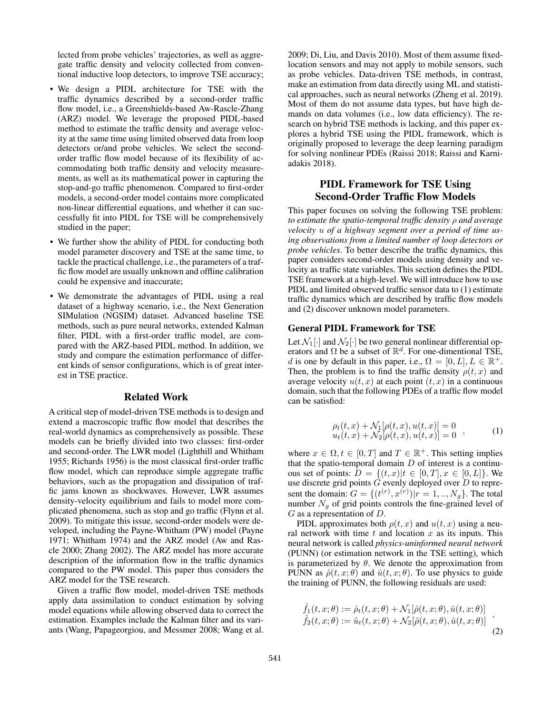lected from probe vehicles' trajectories, as well as aggregate traffic density and velocity collected from conventional inductive loop detectors, to improve TSE accuracy;

- We design a PIDL architecture for TSE with the traffic dynamics described by a second-order traffic flow model, i.e., a Greenshields-based Aw-Rascle-Zhang (ARZ) model. We leverage the proposed PIDL-based method to estimate the traffic density and average velocity at the same time using limited observed data from loop detectors or/and probe vehicles. We select the secondorder traffic flow model because of its flexibility of accommodating both traffic density and velocity measurements, as well as its mathematical power in capturing the stop-and-go traffic phenomenon. Compared to first-order models, a second-order model contains more complicated non-linear differential equations, and whether it can successfully fit into PIDL for TSE will be comprehensively studied in the paper;
- We further show the ability of PIDL for conducting both model parameter discovery and TSE at the same time, to tackle the practical challenge, i.e., the parameters of a traffic flow model are usually unknown and offline calibration could be expensive and inaccurate;
- We demonstrate the advantages of PIDL using a real dataset of a highway scenario, i.e., the Next Generation SIMulation (NGSIM) dataset. Advanced baseline TSE methods, such as pure neural networks, extended Kalman filter, PIDL with a first-order traffic model, are compared with the ARZ-based PIDL method. In addition, we study and compare the estimation performance of different kinds of sensor configurations, which is of great interest in TSE practice.

#### Related Work

A critical step of model-driven TSE methods is to design and extend a macroscopic traffic flow model that describes the real-world dynamics as comprehensively as possible. These models can be briefly divided into two classes: first-order and second-order. The LWR model (Lighthill and Whitham 1955; Richards 1956) is the most classical first-order traffic flow model, which can reproduce simple aggregate traffic behaviors, such as the propagation and dissipation of traffic jams known as shockwaves. However, LWR assumes density-velocity equilibrium and fails to model more complicated phenomena, such as stop and go traffic (Flynn et al. 2009). To mitigate this issue, second-order models were developed, including the Payne-Whitham (PW) model (Payne 1971; Whitham 1974) and the ARZ model (Aw and Rascle 2000; Zhang 2002). The ARZ model has more accurate description of the information flow in the traffic dynamics compared to the PW model. This paper thus considers the ARZ model for the TSE research.

Given a traffic flow model, model-driven TSE methods apply data assimilation to conduct estimation by solving model equations while allowing observed data to correct the estimation. Examples include the Kalman filter and its variants (Wang, Papageorgiou, and Messmer 2008; Wang et al.

2009; Di, Liu, and Davis 2010). Most of them assume fixedlocation sensors and may not apply to mobile sensors, such as probe vehicles. Data-driven TSE methods, in contrast, make an estimation from data directly using ML and statistical approaches, such as neural networks (Zheng et al. 2019). Most of them do not assume data types, but have high demands on data volumes (i.e., low data efficiency). The research on hybrid TSE methods is lacking, and this paper explores a hybrid TSE using the PIDL framework, which is originally proposed to leverage the deep learning paradigm for solving nonlinear PDEs (Raissi 2018; Raissi and Karniadakis 2018).

# PIDL Framework for TSE Using Second-Order Traffic Flow Models

This paper focuses on solving the following TSE problem: *to estimate the spatio-temporal traffic density* ρ *and average velocity* u *of a highway segment over a period of time using observations from a limited number of loop detectors or probe vehicles*. To better describe the traffic dynamics, this paper considers second-order models using density and velocity as traffic state variables. This section defines the PIDL TSE framework at a high-level. We will introduce how to use PIDL and limited observed traffic sensor data to (1) estimate traffic dynamics which are described by traffic flow models and (2) discover unknown model parameters.

#### General PIDL Framework for TSE

Let  $\mathcal{N}_1[\cdot]$  and  $\mathcal{N}_2[\cdot]$  be two general nonlinear differential operators and  $\Omega$  be a subset of  $\mathbb{R}^d$ . For one-dimentional TSE, d is one by default in this paper, i.e.,  $\Omega = [0, L], L \in \mathbb{R}^+$ . Then, the problem is to find the traffic density  $\rho(t, x)$  and average velocity  $u(t, x)$  at each point  $(t, x)$  in a continuous domain, such that the following PDEs of a traffic flow model can be satisfied:

$$
\rho_t(t, x) + \mathcal{N}_1[\rho(t, x), u(t, x)] = 0 u_t(t, x) + \mathcal{N}_2[\rho(t, x), u(t, x)] = 0 ,
$$
 (1)

where  $x \in \Omega, t \in [0, T]$  and  $T \in \mathbb{R}^+$ . This setting implies that the spatio-temporal domain  $D$  of interest is a continuous set of points:  $D = \{(t, x)|t \in [0, T], x \in [0, L]\}.$  We use discrete grid points  $G$  evenly deployed over  $D$  to represent the domain:  $G = \{ (t^{(r)}, x^{(r)}) | r = 1, ..., N_g \}$ . The total number  $N<sub>q</sub>$  of grid points controls the fine-grained level of G as a representation of D.

PIDL approximates both  $\rho(t, x)$  and  $u(t, x)$  using a neural network with time  $t$  and location  $x$  as its inputs. This neural network is called *physics-uninformed neural network* (PUNN) (or estimation network in the TSE setting), which is parameterized by  $\theta$ . We denote the approximation from PUNN as  $\hat{\rho}(t, x; \theta)$  and  $\hat{u}(t, x; \theta)$ . To use physics to guide the training of PUNN, the following residuals are used:

$$
\hat{f}_1(t, x; \theta) := \hat{\rho}_t(t, x; \theta) + \mathcal{N}_1[\hat{\rho}(t, x; \theta), \hat{u}(t, x; \theta)] \n\hat{f}_2(t, x; \theta) := \hat{u}_t(t, x; \theta) + \mathcal{N}_2[\hat{\rho}(t, x; \theta), \hat{u}(t, x; \theta)]
$$
\n(2)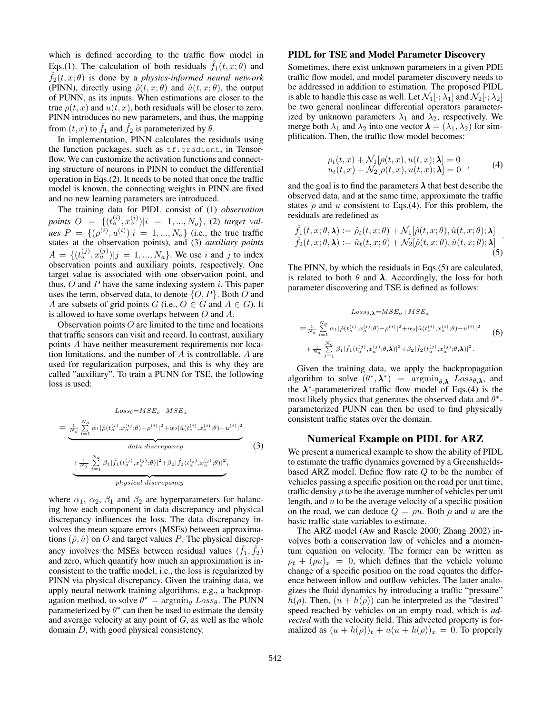which is defined according to the traffic flow model in Eqs.(1). The calculation of both residuals  $f_1(t, x; \theta)$  and  $f_2(t, x; \theta)$  is done by a *physics-informed neural network* (PINN), directly using  $\hat{\rho}(t, x; \theta)$  and  $\hat{u}(t, x; \theta)$ , the output of PUNN, as its inputs. When estimations are closer to the true  $\rho(t, x)$  and  $u(t, x)$ , both residuals will be closer to zero. PINN introduces no new parameters, and thus, the mapping from  $(t, x)$  to  $\hat{f}_1$  and  $\hat{f}_2$  is parameterized by  $\theta$ .

In implementation, PINN calculates the residuals using the function packages, such as  $tf.gradient$ , in Tensorflow. We can customize the activation functions and connecting structure of neurons in PINN to conduct the differential operation in Eqs.(2). It needs to be noted that once the traffic model is known, the connecting weights in PINN are fixed and no new learning parameters are introduced.

The training data for PIDL consist of (1) *observation*  $points \ O \ = \ \{(t_o^{(i)}, x_o^{(i)}) | i \ = \ 1, ..., N_o\}, \ (2) \ target \ val$ *ues*  $P = \{(\rho^{(i)}, u^{(i)}) | i = 1, ..., N_o\}$  (i.e., the true traffic states at the observation points), and (3) *auxiliary points*  $A = \{ (t_a^{(j)}, x_a^{(j)}) | j = 1, ..., N_a \}$ . We use i and j to index observation points and auxiliary points, respectively. One target value is associated with one observation point, and thus,  $O$  and  $P$  have the same indexing system i. This paper uses the term, observed data, to denote  $\{O, P\}$ . Both O and A are subsets of grid points G (i.e.,  $O \in G$  and  $A \in G$ ). It is allowed to have some overlaps between  $O$  and  $A$ .

Observation points  $O$  are limited to the time and locations that traffic sensors can visit and record. In contrast, auxiliary points A have neither measurement requirements nor location limitations, and the number of A is controllable. A are used for regularization purposes, and this is why they are called "auxiliary". To train a PUNN for TSE, the following loss is used:

$$
Loss_{\theta} = MSE_{o} + MSE_{a}
$$
\n
$$
= \frac{1}{N_o} \sum_{i=1}^{N_o} \alpha_1 |\hat{\rho}(t_o^{(i)}, x_o^{(i)}; \theta) - \rho^{(i)}|^2 + \alpha_2 |\hat{u}(t_o^{(i)}, x_o^{(i)}; \theta) - u^{(i)}|^2
$$
\n
$$
data discrepancy
$$
\n
$$
+ \frac{1}{N_a} \sum_{j=1}^{N_a} \beta_1 |\hat{f}_1(t_a^{(j)}, x_a^{(j)}; \theta)|^2 + \beta_2 |\hat{f}_2(t_a^{(j)}, x_a^{(j)}; \theta)|^2,
$$
\n
$$
physical discrepancy
$$
\n(3)

where  $\alpha_1$ ,  $\alpha_2$ ,  $\beta_1$  and  $\beta_2$  are hyperparameters for balancing how each component in data discrepancy and physical discrepancy influences the loss. The data discrepancy involves the mean square errors (MSEs) between approximations  $(\hat{\rho}, \hat{u})$  on O and target values P. The physical discrepancy involves the MSEs between residual values  $(\hat{f}_1, \hat{f}_2)$ and zero, which quantify how much an approximation is inconsistent to the traffic model, i.e., the loss is regularized by PINN via physical discrepancy. Given the training data, we apply neural network training algorithms, e.g., a backpropagation method, to solve  $\theta^* = \operatorname{argmin}_{\theta} Loss_{\theta}$ . The PUNN parameterized by  $\theta^*$  can then be used to estimate the density and average velocity at any point of  $G$ , as well as the whole domain D, with good physical consistency.

#### PIDL for TSE and Model Parameter Discovery

Sometimes, there exist unknown parameters in a given PDE traffic flow model, and model parameter discovery needs to be addressed in addition to estimation. The proposed PIDL is able to handle this case as well. Let  $\mathcal{N}_1[\cdot; \lambda_1]$  and  $\mathcal{N}_2[\cdot; \lambda_2]$ be two general nonlinear differential operators parameterized by unknown parameters  $\lambda_1$  and  $\lambda_2$ , respectively. We merge both  $\lambda_1$  and  $\lambda_2$  into one vector  $\lambda = (\lambda_1, \lambda_2)$  for simplification. Then, the traffic flow model becomes:

$$
\rho_t(t, x) + \mathcal{N}_1[\rho(t, x), u(t, x); \lambda] = 0
$$
  
 
$$
u_t(t, x) + \mathcal{N}_2[\rho(t, x), u(t, x); \lambda] = 0
$$
 (4)

and the goal is to find the parameters  $\lambda$  that best describe the observed data, and at the same time, approximate the traffic states  $\rho$  and u consistent to Eqs.(4). For this problem, the residuals are redefined as

$$
\hat{f}_1(t, x; \theta, \lambda) := \hat{\rho}_t(t, x; \theta) + \mathcal{N}_1[\hat{\rho}(t, x; \theta), \hat{u}(t, x; \theta); \lambda] \n\hat{f}_2(t, x; \theta, \lambda) := \hat{u}_t(t, x; \theta) + \mathcal{N}_2[\hat{\rho}(t, x; \theta), \hat{u}(t, x; \theta); \lambda]
$$
\n(5)

The PINN, by which the residuals in Eqs.(5) are calculated, is related to both  $\theta$  and  $\lambda$ . Accordingly, the loss for both parameter discovering and TSE is defined as follows:

$$
Loss_{\theta,\mathbf{\lambda}} = MSE_{o} + MSE_{a}
$$
  
=  $\frac{1}{N_o} \sum_{i=1}^{N_o} \alpha_1 |\hat{\rho}(t_o^{(i)}, x_o^{(i)}; \theta) - \rho^{(i)}|^2 + \alpha_2 |\hat{u}(t_o^{(i)}, x_o^{(i)}; \theta) - u^{(i)}|^2$   
+  $\frac{1}{N_a} \sum_{j=1}^{N_a} \beta_1 |\hat{f}_1(t_a^{(j)}, x_a^{(j)}; \theta, \mathbf{\lambda})|^2 + \beta_2 |\hat{f}_2(t_a^{(j)}, x_a^{(j)}; \theta, \mathbf{\lambda})|^2.$  (6)

Given the training data, we apply the backpropagation algorithm to solve  $(\theta^*, \lambda^*)$  =  $\operatorname{argmin}_{\theta, \lambda}$  Loss<sub> $\theta, \lambda$ </sub>, and the  $\lambda^*$ -parameterized traffic flow model of Eqs.(4) is the most likely physics that generates the observed data and  $\theta^*$ parameterized PUNN can then be used to find physically consistent traffic states over the domain.

#### Numerical Example on PIDL for ARZ

We present a numerical example to show the ability of PIDL to estimate the traffic dynamics governed by a Greenshieldsbased ARZ model. Define flow rate Q to be the number of vehicles passing a specific position on the road per unit time, traffic density  $\rho$  to be the average number of vehicles per unit length, and  $u$  to be the average velocity of a specific position on the road, we can deduce  $Q = \rho u$ . Both  $\rho$  and u are the basic traffic state variables to estimate.

The ARZ model (Aw and Rascle 2000; Zhang 2002) involves both a conservation law of vehicles and a momentum equation on velocity. The former can be written as  $\rho_t + (\rho u)_x = 0$ , which defines that the vehicle volume change of a specific position on the road equates the difference between inflow and outflow vehicles. The latter analogizes the fluid dynamics by introducing a traffic "pressure"  $h(\rho)$ . Then,  $(u + h(\rho))$  can be interpreted as the "desired" speed reached by vehicles on an empty road, which is *advected* with the velocity field. This advected property is formalized as  $(u + h(\rho))_t + u(u + h(\rho))_x = 0$ . To properly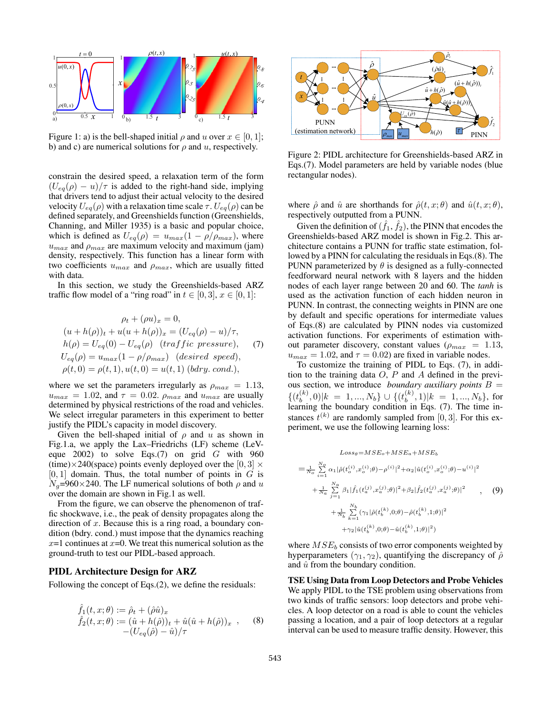

Figure 1: a) is the bell-shaped initial  $\rho$  and u over  $x \in [0,1]$ ; b) and c) are numerical solutions for  $\rho$  and  $u$ , respectively.

constrain the desired speed, a relaxation term of the form  $(U_{eq}(\rho) - u)/\tau$  is added to the right-hand side, implying that drivers tend to adjust their actual velocity to the desired velocity  $U_{eq}(\rho)$  with a relaxation time scale  $\tau$ .  $U_{eq}(\rho)$  can be defined separately, and Greenshields function (Greenshields, Channing, and Miller 1935) is a basic and popular choice, which is defined as  $U_{eq}(\rho) = u_{max}(1 - \rho/\rho_{max})$ , where  $u_{max}$  and  $\rho_{max}$  are maximum velocity and maximum (jam) density, respectively. This function has a linear form with two coefficients  $u_{max}$  and  $\rho_{max}$ , which are usually fitted with data.

In this section, we study the Greenshields-based ARZ traffic flow model of a "ring road" in  $t \in [0,3], x \in [0,1]$ :

$$
\rho_t + (\rho u)_x = 0,
$$
  
\n
$$
(u + h(\rho))_t + u(u + h(\rho))_x = (U_{eq}(\rho) - u)/\tau,
$$
  
\n
$$
h(\rho) = U_{eq}(0) - U_{eq}(\rho) \quad (traffic pressure),
$$
  
\n
$$
U_{eq}(\rho) = u_{max}(1 - \rho/\rho_{max}) \quad (desired speed),
$$
  
\n
$$
\rho(t, 0) = \rho(t, 1), u(t, 0) = u(t, 1) \quad (bdry. cond.),
$$

where we set the parameters irregularly as  $\rho_{max} = 1.13$ ,  $u_{max} = 1.02$ , and  $\tau = 0.02$ .  $\rho_{max}$  and  $u_{max}$  are usually determined by physical restrictions of the road and vehicles. We select irregular parameters in this experiment to better justify the PIDL's capacity in model discovery.

Given the bell-shaped initial of  $\rho$  and u as shown in Fig.1.a, we apply the Lax–Friedrichs (LF) scheme (LeVeque  $2002$ ) to solve Eqs.(7) on grid G with 960 (time) $\times$ 240(space) points evenly deployed over the [0, 3]  $\times$  $[0, 1]$  domain. Thus, the total number of points in G is  $N_a$ =960×240. The LF numerical solutions of both  $\rho$  and u over the domain are shown in Fig.1 as well.

From the figure, we can observe the phenomenon of traffic shockwave, i.e., the peak of density propagates along the direction of  $x$ . Because this is a ring road, a boundary condition (bdry. cond.) must impose that the dynamics reaching  $x=1$  continues at  $x=0$ . We treat this numerical solution as the ground-truth to test our PIDL-based approach.

# PIDL Architecture Design for ARZ

Following the concept of Eqs.(2), we define the residuals:

$$
\hat{f}_1(t, x; \theta) := \hat{\rho}_t + (\hat{\rho}\hat{u})_x \n\hat{f}_2(t, x; \theta) := (\hat{u} + h(\hat{\rho}))_t + \hat{u}(\hat{u} + h(\hat{\rho}))_x , \quad (8) \n- (U_{eq}(\hat{\rho}) - \hat{u})/\tau
$$



Figure 2: PIDL architecture for Greenshields-based ARZ in Eqs.(7). Model parameters are held by variable nodes (blue rectangular nodes).

where  $\hat{\rho}$  and  $\hat{u}$  are shorthands for  $\hat{\rho}(t, x; \theta)$  and  $\hat{u}(t, x; \theta)$ , respectively outputted from a PUNN.

Given the definition of  $(\hat{f}_1, \hat{f}_2)$ , the PINN that encodes the Greenshields-based ARZ model is shown in Fig.2. This architecture contains a PUNN for traffic state estimation, followed by a PINN for calculating the residuals in Eqs.(8). The PUNN parameterized by  $\theta$  is designed as a fully-connected feedforward neural network with 8 layers and the hidden nodes of each layer range between 20 and 60. The *tanh* is used as the activation function of each hidden neuron in PUNN. In contrast, the connecting weights in PINN are one by default and specific operations for intermediate values of Eqs.(8) are calculated by PINN nodes via customized activation functions. For experiments of estimation without parameter discovery, constant values ( $\rho_{max} = 1.13$ ,  $u_{max} = 1.02$ , and  $\tau = 0.02$ ) are fixed in variable nodes.

To customize the training of PIDL to Eqs. (7), in addition to the training data  $O, P$  and  $A$  defined in the previous section, we introduce *boundary auxiliary points* B =  $\{ (t_h^{(k)} \)$  $\bm{h}_b^{(k)},0|k~=~1,...,N_b\}\cup\{(t_b^{(k)}).$  $\sum_{b}^{(k)}$ , 1)| $k = 1,..., N_b$ }, for learning the boundary condition in Eqs. (7). The time instances  $t^{(k)}$  are randomly sampled from [0, 3]. For this experiment, we use the following learning loss:

$$
Loss_{\theta} = MSE_{o} + MSE_{a} + MSE_{b}
$$
\n
$$
= \frac{1}{N_{o}} \sum_{i=1}^{N_{o}} \alpha_{1} |\hat{\rho}(t_{o}^{(i)}, x_{o}^{(i)}; \theta) - \rho^{(i)}|^{2} + \alpha_{2} |\hat{u}(t_{o}^{(i)}, x_{o}^{(i)}; \theta) - u^{(i)}|^{2}
$$
\n
$$
+ \frac{1}{N_{a}} \sum_{j=1}^{N_{a}} \beta_{1} |\hat{f}_{1}(t_{a}^{(j)}, x_{a}^{(j)}; \theta)|^{2} + \beta_{2} |\hat{f}_{2}(t_{a}^{(j)}, x_{a}^{(j)}; \theta)|^{2} + \frac{1}{N_{b}} \sum_{k=1}^{N_{b}} (\gamma_{1} |\hat{\rho}(t_{b}^{(k)}, 0; \theta) - \hat{\rho}(t_{b}^{(k)}, 1; \theta)|^{2} + \gamma_{2} |\hat{u}(t_{b}^{(k)}, 0; \theta) - \hat{u}(t_{b}^{(k)}, 1; \theta)|^{2})
$$
\n
$$
(9)
$$

where  $MSE_b$  consists of two error components weighted by hyperparameters  $(\gamma_1, \gamma_2)$ , quantifying the discrepancy of  $\hat{\rho}$ and  $\hat{u}$  from the boundary condition.

TSE Using Data from Loop Detectors and Probe Vehicles We apply PIDL to the TSE problem using observations from two kinds of traffic sensors: loop detectors and probe vehicles. A loop detector on a road is able to count the vehicles passing a location, and a pair of loop detectors at a regular interval can be used to measure traffic density. However, this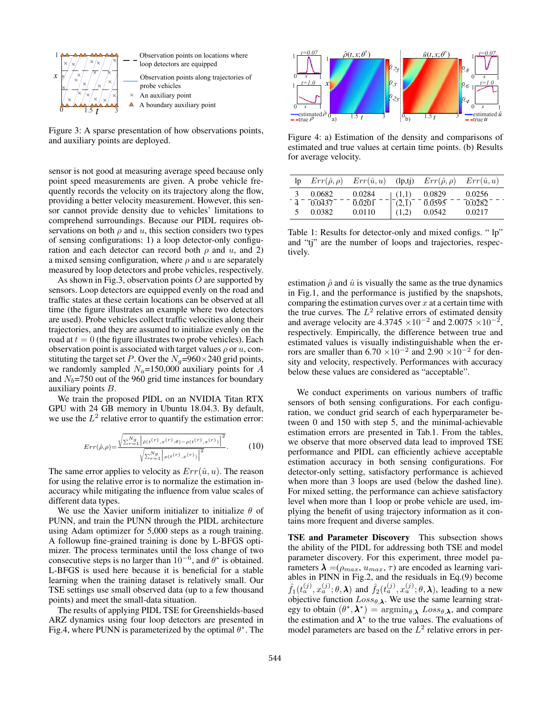

Figure 3: A sparse presentation of how observations points, and auxiliary points are deployed.

sensor is not good at measuring average speed because only point speed measurements are given. A probe vehicle frequently records the velocity on its trajectory along the flow, providing a better velocity measurement. However, this sensor cannot provide density due to vehicles' limitations to comprehend surroundings. Because our PIDL requires observations on both  $\rho$  and  $u$ , this section considers two types of sensing configurations: 1) a loop detector-only configuration and each detector can record both  $\rho$  and  $u$ , and 2) a mixed sensing configuration, where  $\rho$  and  $u$  are separately measured by loop detectors and probe vehicles, respectively.

As shown in Fig.3, observation points  $O$  are supported by sensors. Loop detectors are equipped evenly on the road and traffic states at these certain locations can be observed at all time (the figure illustrates an example where two detectors are used). Probe vehicles collect traffic velocities along their trajectories, and they are assumed to initialize evenly on the road at  $t = 0$  (the figure illustrates two probe vehicles). Each observation point is associated with target values  $\rho$  or  $u$ , constituting the target set P. Over the  $N_q$ =960×240 grid points, we randomly sampled  $N_a=150,000$  auxiliary points for A and  $N_b$ =750 out of the 960 grid time instances for boundary auxiliary points B.

We train the proposed PIDL on an NVIDIA Titan RTX GPU with 24 GB memory in Ubuntu 18.04.3. By default, we use the  $L^2$  relative error to quantify the estimation error:

$$
Err(\hat{\rho}, \rho) = \frac{\sqrt{\sum_{r=1}^{N_g} |\hat{\rho}(t^{(r)}, x^{(r)}, \theta) - \rho(t^{(r)}, x^{(r)})|^2}}{\sqrt{\sum_{r=1}^{N_g} |\rho(t^{(r)}, x^{(r)})|^2}}.
$$
 (10)

The same error applies to velocity as  $Err(\hat{u}, u)$ . The reason for using the relative error is to normalize the estimation inaccuracy while mitigating the influence from value scales of different data types.

We use the Xavier uniform initializer to initialize  $\theta$  of PUNN, and train the PUNN through the PIDL architecture using Adam optimizer for 5,000 steps as a rough training. A followup fine-grained training is done by L-BFGS optimizer. The process terminates until the loss change of two consecutive steps is no larger than  $10^{-6}$ , and  $\theta^*$  is obtained. L-BFGS is used here because it is beneficial for a stable learning when the training dataset is relatively small. Our TSE settings use small observed data (up to a few thousand points) and meet the small-data situation.

The results of applying PIDL TSE for Greenshields-based ARZ dynamics using four loop detectors are presented in Fig.4, where PUNN is parameterized by the optimal  $\theta^*$ . The



Figure 4: a) Estimation of the density and comparisons of estimated and true values at certain time points. (b) Results for average velocity.

| lp | $Err(\hat{\rho}, \rho)$ | $Err(\hat{u}, u)$ | $\left($ lp,tj $\right)$      | $Err(\hat{\rho}, \rho)$ | $Err(\hat{u}, u)$ |
|----|-------------------------|-------------------|-------------------------------|-------------------------|-------------------|
|    | 0.0682                  | 0.0284            | (1,1)                         | 0.0829                  | 0.0256            |
|    | 0.0437                  | 0.0201            | $(\overline{2},\overline{1})$ | 0.0595                  | 0.0282            |
|    | 0.0382                  | 0.0110            | (1,2)                         | 0.0542                  | 0.0217            |

Table 1: Results for detector-only and mixed configs. " lp" and "tj" are the number of loops and trajectories, respectively.

estimation  $\hat{\rho}$  and  $\hat{u}$  is visually the same as the true dynamics in Fig.1, and the performance is justified by the snapshots, comparing the estimation curves over  $x$  at a certain time with the true curves. The  $L^2$  relative errors of estimated density and average velocity are 4.3745  $\times 10^{-2}$  and 2.0075  $\times 10^{-2}$ , respectively. Empirically, the difference between true and estimated values is visually indistinguishable when the errors are smaller than  $6.70 \times 10^{-2}$  and  $2.90 \times 10^{-2}$  for density and velocity, respectively. Performances with accuracy below these values are considered as "acceptable".

We conduct experiments on various numbers of traffic sensors of both sensing configurations. For each configuration, we conduct grid search of each hyperparameter between 0 and 150 with step 5, and the minimal-achievable estimation errors are presented in Tab.1. From the tables, we observe that more observed data lead to improved TSE performance and PIDL can efficiently achieve acceptable estimation accuracy in both sensing configurations. For detector-only setting, satisfactory performance is achieved when more than 3 loops are used (below the dashed line). For mixed setting, the performance can achieve satisfactory level when more than 1 loop or probe vehicle are used, implying the benefit of using trajectory information as it contains more frequent and diverse samples.

TSE and Parameter Discovery This subsection shows the ability of the PIDL for addressing both TSE and model parameter discovery. For this experiment, three model parameters  $\lambda = (\rho_{max}, u_{max}, \tau)$  are encoded as learning variables in PINN in Fig.2, and the residuals in Eq.(9) become  $\hat{f}_1(t_a^{(j)}, x_a^{(j)}; \theta, \lambda)$  and  $\hat{f}_2(t_a^{(j)}, x_a^{(j)}; \theta, \lambda)$ , leading to a new objective function  $Loss_{\theta, \lambda}$ . We use the same learning strategy to obtain  $(\theta^*, \lambda^*) = \operatorname{argmin}_{\theta, \lambda} Loss_{\theta, \lambda}$ , and compare the estimation and  $\lambda^*$  to the true values. The evaluations of model parameters are based on the  $L^2$  relative errors in per-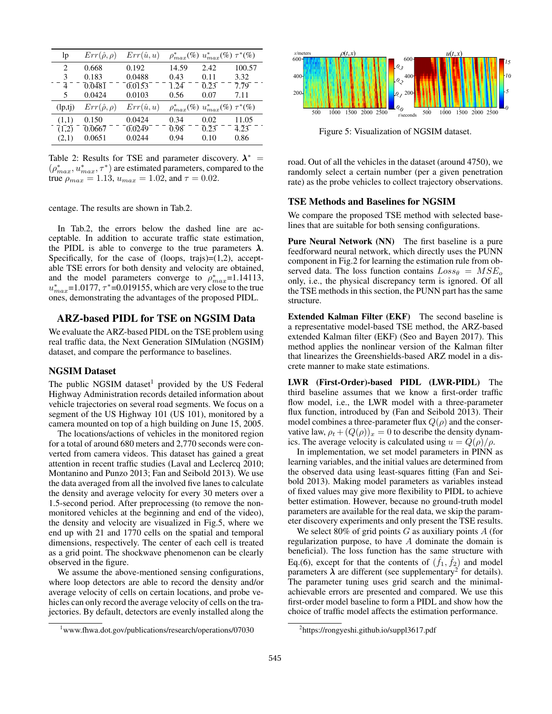| lp                       | $Err(\hat{\rho}, \rho)$ | $Err(\hat{u}, u)$ |       | $\rho_{max}^*(\%) u_{max}^*(\%) \tau^*(\%)$ |        |
|--------------------------|-------------------------|-------------------|-------|---------------------------------------------|--------|
| 2                        | 0.668                   | 0.192             | 14.59 | 2.42                                        | 100.57 |
| 3                        | 0.183                   | 0.0488            | 0.43  | 0.11                                        | 3.32   |
| 4                        | 0.0481                  | 0.0153            | 1.24  | 0.23                                        | 7.79   |
| 5                        | 0.0424                  | 0.0103            | 0.56  | 0.07                                        | 7.11   |
| $\left($ lp,tj $\right)$ | $Err(\hat{\rho}, \rho)$ | $Err(\hat{u}, u)$ |       | $\rho_{max}^*(\%) u_{max}^*(\%) \tau^*(\%)$ |        |
| (1,1)                    | 0.150                   | 0.0424            | 0.34  | 0.02                                        | 11.05  |
| (1,2)                    | 0.0667                  | 0.0249            | 0.98  | 0.23                                        | 4.23   |
| (2,1)                    | 0.0651                  | 0.0244            | 0.94  | 0.10                                        | 0.86   |

Table 2: Results for TSE and parameter discovery.  $\lambda^*$  =  $(\rho_{max}^*, u_{max}^*, \tau^*)$  are estimated parameters, compared to the true  $\rho_{max} = 1.13$ ,  $u_{max} = 1.02$ , and  $\tau = 0.02$ .

centage. The results are shown in Tab.2.

In Tab.2, the errors below the dashed line are acceptable. In addition to accurate traffic state estimation, the PIDL is able to converge to the true parameters  $\lambda$ . Specifically, for the case of (loops, trajs)= $(1,2)$ , acceptable TSE errors for both density and velocity are obtained, and the model parameters converge to  $\rho_{max}^*$ =1.14113,  $u_{max}^*$ =1.0177,  $\tau^*$ =0.019155, which are very close to the true ones, demonstrating the advantages of the proposed PIDL.

# ARZ-based PIDL for TSE on NGSIM Data

We evaluate the ARZ-based PIDL on the TSE problem using real traffic data, the Next Generation SIMulation (NGSIM) dataset, and compare the performance to baselines.

# NGSIM Dataset

The public NGSIM dataset<sup>1</sup> provided by the US Federal Highway Administration records detailed information about vehicle trajectories on several road segments. We focus on a segment of the US Highway 101 (US 101), monitored by a camera mounted on top of a high building on June 15, 2005.

The locations/actions of vehicles in the monitored region for a total of around 680 meters and 2,770 seconds were converted from camera videos. This dataset has gained a great attention in recent traffic studies (Laval and Leclercq 2010; Montanino and Punzo 2013; Fan and Seibold 2013). We use the data averaged from all the involved five lanes to calculate the density and average velocity for every 30 meters over a 1.5-second period. After preprocessing (to remove the nonmonitored vehicles at the beginning and end of the video), the density and velocity are visualized in Fig.5, where we end up with 21 and 1770 cells on the spatial and temporal dimensions, respectively. The center of each cell is treated as a grid point. The shockwave phenomenon can be clearly observed in the figure.

We assume the above-mentioned sensing configurations, where loop detectors are able to record the density and/or average velocity of cells on certain locations, and probe vehicles can only record the average velocity of cells on the trajectories. By default, detectors are evenly installed along the





Figure 5: Visualization of NGSIM dataset.

road. Out of all the vehicles in the dataset (around 4750), we randomly select a certain number (per a given penetration rate) as the probe vehicles to collect trajectory observations.

#### TSE Methods and Baselines for NGSIM

We compare the proposed TSE method with selected baselines that are suitable for both sensing configurations.

Pure Neural Network (NN) The first baseline is a pure feedforward neural network, which directly uses the PUNN component in Fig.2 for learning the estimation rule from observed data. The loss function contains  $Loss_{\theta} = MSE_{o}$ only, i.e., the physical discrepancy term is ignored. Of all the TSE methods in this section, the PUNN part has the same structure.

Extended Kalman Filter (EKF) The second baseline is a representative model-based TSE method, the ARZ-based extended Kalman filter (EKF) (Seo and Bayen 2017). This method applies the nonlinear version of the Kalman filter that linearizes the Greenshields-based ARZ model in a discrete manner to make state estimations.

LWR (First-Order)-based PIDL (LWR-PIDL) The third baseline assumes that we know a first-order traffic flow model, i.e., the LWR model with a three-parameter flux function, introduced by (Fan and Seibold 2013). Their model combines a three-parameter flux  $Q(\rho)$  and the conservative law,  $\rho_t + (Q(\rho))_x = 0$  to describe the density dynamics. The average velocity is calculated using  $u = Q(\rho)/\rho$ .

In implementation, we set model parameters in PINN as learning variables, and the initial values are determined from the observed data using least-squares fitting (Fan and Seibold 2013). Making model parameters as variables instead of fixed values may give more flexibility to PIDL to achieve better estimation. However, because no ground-truth model parameters are available for the real data, we skip the parameter discovery experiments and only present the TSE results.

We select 80% of grid points  $G$  as auxiliary points  $A$  (for regularization purpose, to have A dominate the domain is beneficial). The loss function has the same structure with Eq.(6), except for that the contents of  $(\hat{f}_1, \hat{f}_2)$  and model parameters  $\hat{\lambda}$  are different (see supplementary<sup>2</sup> for details). The parameter tuning uses grid search and the minimalachievable errors are presented and compared. We use this first-order model baseline to form a PIDL and show how the choice of traffic model affects the estimation performance.

<sup>&</sup>lt;sup>2</sup>https://rongyeshi.github.io/suppl3617.pdf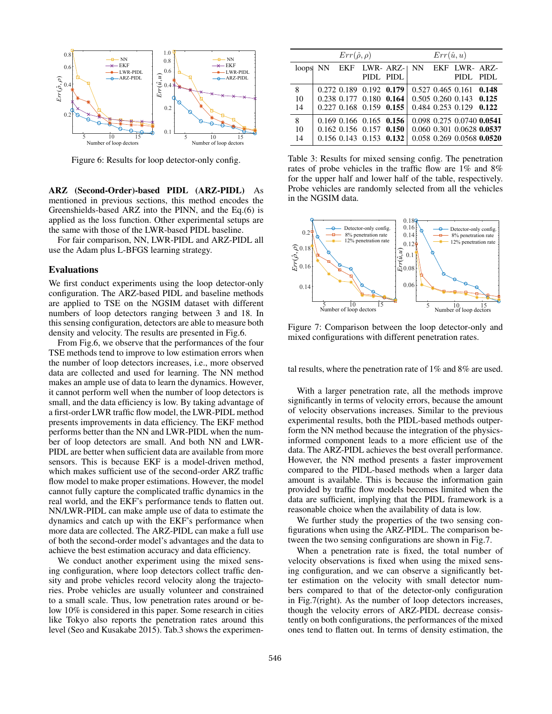

Figure 6: Results for loop detector-only config.

ARZ (Second-Order)-based PIDL (ARZ-PIDL) As mentioned in previous sections, this method encodes the Greenshields-based ARZ into the PINN, and the Eq.(6) is applied as the loss function. Other experimental setups are the same with those of the LWR-based PIDL baseline.

For fair comparison, NN, LWR-PIDL and ARZ-PIDL all use the Adam plus L-BFGS learning strategy.

#### Evaluations

We first conduct experiments using the loop detector-only configuration. The ARZ-based PIDL and baseline methods are applied to TSE on the NGSIM dataset with different numbers of loop detectors ranging between 3 and 18. In this sensing configuration, detectors are able to measure both density and velocity. The results are presented in Fig.6.

From Fig.6, we observe that the performances of the four TSE methods tend to improve to low estimation errors when the number of loop detectors increases, i.e., more observed data are collected and used for learning. The NN method makes an ample use of data to learn the dynamics. However, it cannot perform well when the number of loop detectors is small, and the data efficiency is low. By taking advantage of a first-order LWR traffic flow model, the LWR-PIDL method presents improvements in data efficiency. The EKF method performs better than the NN and LWR-PIDL when the number of loop detectors are small. And both NN and LWR-PIDL are better when sufficient data are available from more sensors. This is because EKF is a model-driven method, which makes sufficient use of the second-order ARZ traffic flow model to make proper estimations. However, the model cannot fully capture the complicated traffic dynamics in the real world, and the EKF's performance tends to flatten out. NN/LWR-PIDL can make ample use of data to estimate the dynamics and catch up with the EKF's performance when more data are collected. The ARZ-PIDL can make a full use of both the second-order model's advantages and the data to achieve the best estimation accuracy and data efficiency.

We conduct another experiment using the mixed sensing configuration, where loop detectors collect traffic density and probe vehicles record velocity along the trajectories. Probe vehicles are usually volunteer and constrained to a small scale. Thus, low penetration rates around or below 10% is considered in this paper. Some research in cities like Tokyo also reports the penetration rates around this level (Seo and Kusakabe 2015). Tab.3 shows the experimen-

|    | $Err(\hat{\rho}, \rho)$ |  |                                 |  | $Err(\hat{u}, u)$ |  |                                 |  |
|----|-------------------------|--|---------------------------------|--|-------------------|--|---------------------------------|--|
|    | loops NN EKF LWR-ARZ-   |  |                                 |  | NN 1              |  | EKF LWR-ARZ-                    |  |
|    |                         |  | PIDL PIDL                       |  |                   |  | PIDL PIDL                       |  |
| 8  |                         |  | 0.272 0.189 0.192 0.179         |  |                   |  | $0.527$ $0.465$ $0.161$ $0.148$ |  |
| 10 |                         |  | 0.238 0.177 0.180 0.164         |  |                   |  | $0.505$ $0.260$ $0.143$ $0.125$ |  |
| 14 |                         |  | 0.227 0.168 0.159 0.155         |  |                   |  | $0.484$ $0.253$ $0.129$ $0.122$ |  |
| 8  |                         |  | $0.169$ $0.166$ $0.165$ $0.156$ |  |                   |  | 0.098 0.275 0.0740 0.0541       |  |
| 10 |                         |  | $0.162$ 0.156 0.157 0.150       |  |                   |  | 0.060 0.301 0.0628 0.0537       |  |
| 14 |                         |  | $0.156$ 0.143 $0.153$ 0.132     |  |                   |  | 0.058 0.269 0.0568 0.0520       |  |

Table 3: Results for mixed sensing config. The penetration rates of probe vehicles in the traffic flow are 1% and 8% for the upper half and lower half of the table, respectively. Probe vehicles are randomly selected from all the vehicles in the NGSIM data.



Figure 7: Comparison between the loop detector-only and mixed configurations with different penetration rates.

tal results, where the penetration rate of 1% and 8% are used.

With a larger penetration rate, all the methods improve significantly in terms of velocity errors, because the amount of velocity observations increases. Similar to the previous experimental results, both the PIDL-based methods outperform the NN method because the integration of the physicsinformed component leads to a more efficient use of the data. The ARZ-PIDL achieves the best overall performance. However, the NN method presents a faster improvement compared to the PIDL-based methods when a larger data amount is available. This is because the information gain provided by traffic flow models becomes limited when the data are sufficient, implying that the PIDL framework is a reasonable choice when the availability of data is low.

We further study the properties of the two sensing configurations when using the ARZ-PIDL. The comparison between the two sensing configurations are shown in Fig.7.

When a penetration rate is fixed, the total number of velocity observations is fixed when using the mixed sensing configuration, and we can observe a significantly better estimation on the velocity with small detector numbers compared to that of the detector-only configuration in Fig.7(right). As the number of loop detectors increases, though the velocity errors of ARZ-PIDL decrease consistently on both configurations, the performances of the mixed ones tend to flatten out. In terms of density estimation, the